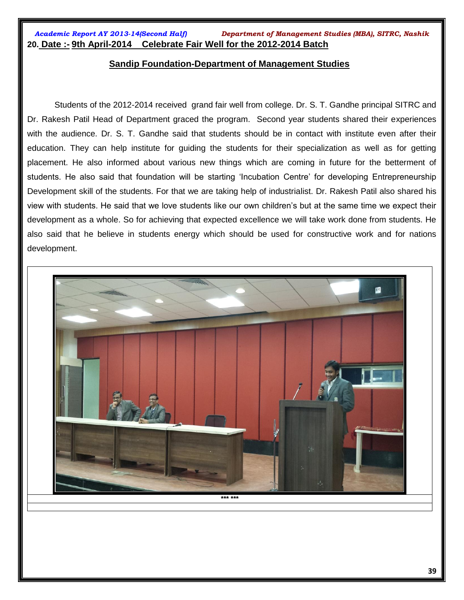## *Academic Report AY 2013-14(Second Half) Department of Management Studies (MBA), SITRC, Nashik* **20. Date :- 9th April-2014 Celebrate Fair Well for the 2012-2014 Batch**

## **Sandip Foundation-Department of Management Studies**

Students of the 2012-2014 received grand fair well from college. Dr. S. T. Gandhe principal SITRC and Dr. Rakesh Patil Head of Department graced the program. Second year students shared their experiences with the audience. Dr. S. T. Gandhe said that students should be in contact with institute even after their education. They can help institute for guiding the students for their specialization as well as for getting placement. He also informed about various new things which are coming in future for the betterment of students. He also said that foundation will be starting 'Incubation Centre' for developing Entrepreneurship Development skill of the students. For that we are taking help of industrialist. Dr. Rakesh Patil also shared his view with students. He said that we love students like our own children"s but at the same time we expect their development as a whole. So for achieving that expected excellence we will take work done from students. He also said that he believe in students energy which should be used for constructive work and for nations development.

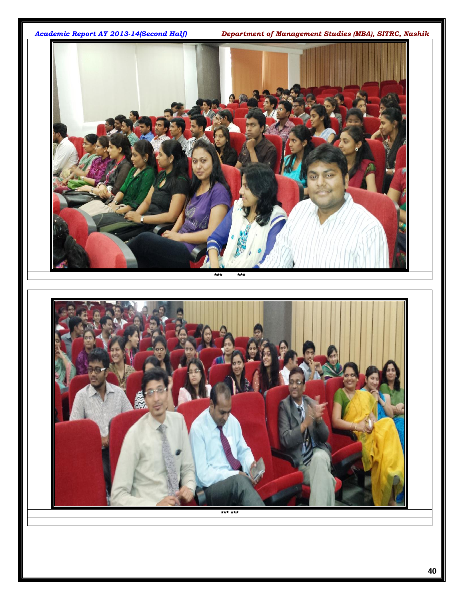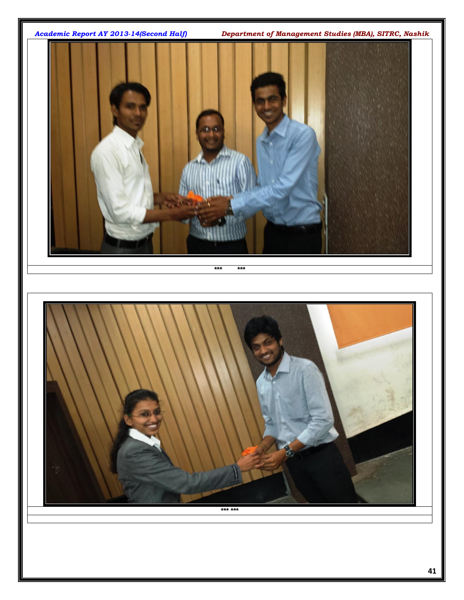